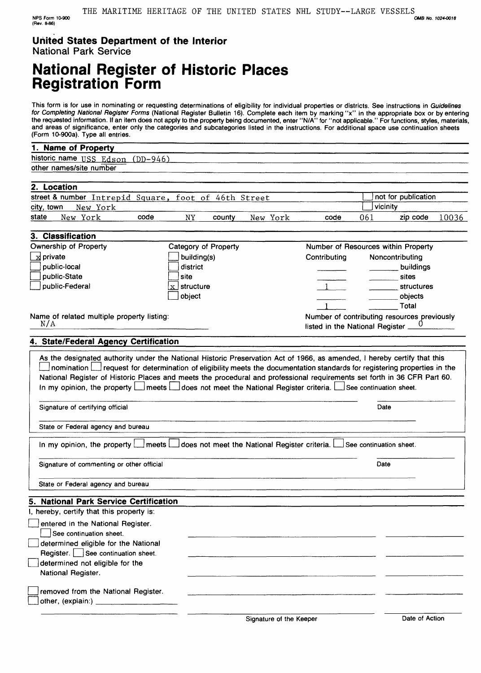# **National Register of Historic Places Registration Form**

This form is for use in nominating or requesting determinations of eligibility for individual properties or districts. See instructions in Guidelines for Completing National Register Forms (National Register Bulletin 16). Complete each item by marking "x" in the appropriate box or by entering the requested information. If an item does not apply to the property being documented, enter "N/A" for "not applicable." For functions, styles, materials, and areas of significance, enter only the categories and subcategories listed in the instructions. For additional space use continuation sheets (Form 10-900a). Type all entries.

### **1. Name of Property**

NPS Form 10-900 (Rsv. 8-86)

historic name USS Edson (DD-946)

|       |              | other names/site number |                                                                        |                                            |                               |                                                      |                                                 |                                                                                                             |     |                                             |       |
|-------|--------------|-------------------------|------------------------------------------------------------------------|--------------------------------------------|-------------------------------|------------------------------------------------------|-------------------------------------------------|-------------------------------------------------------------------------------------------------------------|-----|---------------------------------------------|-------|
|       |              |                         |                                                                        |                                            |                               |                                                      |                                                 |                                                                                                             |     |                                             |       |
|       | 2. Location  |                         |                                                                        |                                            |                               | street & number Intrepid Square, foot of 46th Street |                                                 |                                                                                                             |     | not for publication                         |       |
|       | city, town   | New York                |                                                                        |                                            |                               |                                                      |                                                 |                                                                                                             |     | vicinity                                    |       |
| state |              | New York                |                                                                        | code                                       | NY                            | county                                               | New York                                        | code                                                                                                        | 061 | zip code                                    | 10036 |
|       |              |                         |                                                                        |                                            |                               |                                                      |                                                 |                                                                                                             |     |                                             |       |
|       |              | 3. Classification       |                                                                        |                                            |                               |                                                      |                                                 |                                                                                                             |     |                                             |       |
|       |              | Ownership of Property   |                                                                        |                                            |                               | Category of Property                                 |                                                 |                                                                                                             |     | Number of Resources within Property         |       |
|       | x private    |                         |                                                                        |                                            | building(s)                   |                                                      |                                                 | Contributing                                                                                                |     | Noncontributing                             |       |
|       | public-local |                         |                                                                        |                                            | district                      |                                                      |                                                 |                                                                                                             |     | buildings                                   |       |
|       | public-State |                         |                                                                        |                                            | site                          |                                                      |                                                 |                                                                                                             |     | sites                                       |       |
|       |              | public-Federal          |                                                                        |                                            | $\lfloor x \rfloor$ structure |                                                      |                                                 | $-1$                                                                                                        |     | structures                                  |       |
|       |              |                         |                                                                        |                                            | object                        |                                                      |                                                 |                                                                                                             |     | objects                                     |       |
|       |              |                         |                                                                        |                                            |                               |                                                      |                                                 |                                                                                                             |     | Total                                       |       |
|       | N/A          |                         |                                                                        | Name of related multiple property listing: |                               |                                                      |                                                 | listed in the National Register.                                                                            |     | Number of contributing resources previously |       |
|       |              |                         |                                                                        |                                            |                               |                                                      |                                                 |                                                                                                             |     |                                             |       |
|       |              |                         |                                                                        | 4. State/Federal Agency Certification      |                               |                                                      |                                                 |                                                                                                             |     |                                             |       |
|       |              |                         | Signature of certifying official<br>State or Federal agency and bureau |                                            |                               |                                                      |                                                 | In my opinion, the property   meets   does not meet the National Register criteria. See continuation sheet. |     | Date                                        |       |
|       |              |                         | In my opinion, the property [                                          | meets L                                    |                               |                                                      | does not meet the National Register criteria. L |                                                                                                             |     | See continuation sheet.                     |       |
|       |              |                         |                                                                        | Signature of commenting or other official  |                               |                                                      |                                                 |                                                                                                             |     | Date                                        |       |
|       |              |                         | State or Federal agency and bureau                                     |                                            |                               |                                                      |                                                 |                                                                                                             |     |                                             |       |
|       |              |                         |                                                                        | 5. National Park Service Certification     |                               |                                                      |                                                 |                                                                                                             |     |                                             |       |
|       |              |                         | I, hereby, certify that this property is:                              |                                            |                               |                                                      |                                                 |                                                                                                             |     |                                             |       |
|       |              |                         | entered in the National Register.                                      |                                            |                               |                                                      |                                                 |                                                                                                             |     |                                             |       |
|       |              | See continuation sheet. |                                                                        |                                            |                               |                                                      |                                                 |                                                                                                             |     |                                             |       |
|       |              |                         |                                                                        | determined eligible for the National       |                               |                                                      |                                                 |                                                                                                             |     |                                             |       |
|       |              |                         | Register. See continuation sheet.                                      |                                            |                               |                                                      |                                                 |                                                                                                             |     |                                             |       |
|       |              | National Register.      | determined not eligible for the                                        |                                            |                               |                                                      |                                                 |                                                                                                             |     |                                             |       |
|       |              |                         |                                                                        |                                            |                               |                                                      |                                                 |                                                                                                             |     |                                             |       |
|       |              |                         |                                                                        | removed from the National Register.        |                               |                                                      |                                                 |                                                                                                             |     |                                             |       |
|       |              | other, (explain:)       |                                                                        |                                            |                               |                                                      |                                                 |                                                                                                             |     |                                             |       |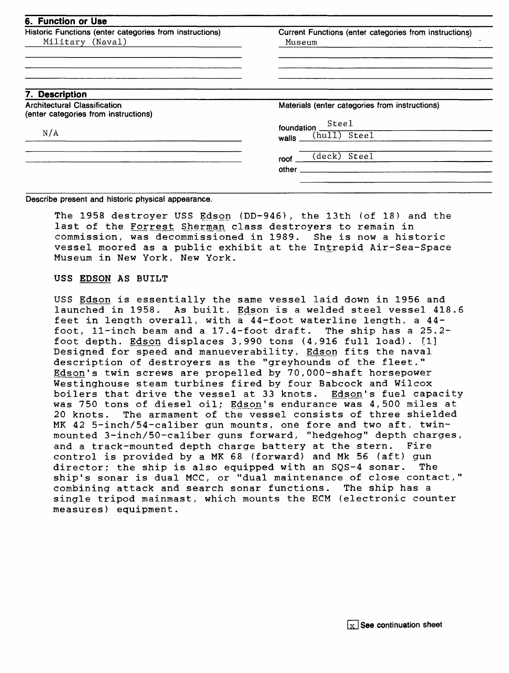| Historic Functions (enter categories from instructions)<br>Military (Naval)                   | Current Functions (enter categories from instructions)<br>Museum |  |  |
|-----------------------------------------------------------------------------------------------|------------------------------------------------------------------|--|--|
|                                                                                               |                                                                  |  |  |
| 7. Description<br><b>Architectural Classification</b><br>(enter categories from instructions) | Materials (enter categories from instructions)                   |  |  |
| N/A                                                                                           | Steel<br>foundation<br>(hull) Steel<br>walls                     |  |  |
|                                                                                               | Steel<br>(deck)<br>roof<br>other                                 |  |  |

**Describe present and historic physical appearance.**

The 1958 destroyer USS Edson (DD-946), the 13th (of 18) and the last of the Forrest Sherman class destroyers to remain in commission, was decommissioned in 1989. She is now a historic vessel moored as a public exhibit at the Intrepid Air-Sea-Space Museum in New York, New York.

### **USS EPSON AS BUILT**

USS Edson is essentially the same vessel laid down in 1956 and launched in 1958. As built, Edson is a welded steel vessel 418.6 feet in length overall, with a 44-foot waterline length, a 44-<br>foot, 11-inch beam and a 17.4-foot draft. The ship has a 25.2foot,  $11$ -inch beam and a  $17.4$ -foot draft. foot depth. Edson displaces 3,990 tons (4,916 full load). [1] Designed for speed and manueverability, Edson fits the naval description of destroyers as the "greyhounds of the fleet." Edson's twin screws are propelled by 70,000-shaft horsepower Westinghouse steam turbines fired by four Babcock and Wilcox boilers that drive the vessel at 33 knots. Edson's fuel capacity was 750 tons of diesel oil; Edson's endurance was 4,500 miles at 20 knots. The armament of the vessel consists of three shielded MK 42 5-inch/54-caliber gun mounts, one fore and two aft, twinmounted 3-inch/50-caliber guns forward, "hedgehog" depth charges, and a track-mounted depth charge battery at the stern. Fire control is provided by a MK 68 (forward) and Mk 56 (aft) gun director; the ship is also equipped with an SQS-4 sonar. ship's sonar is dual MCC, or "dual maintenance of close contact,"<br>combining attack and search sonar functions. The ship has a combining attack and search sonar functions. single tripod mainmast, which mounts the ECM (electronic counter measures) equipment.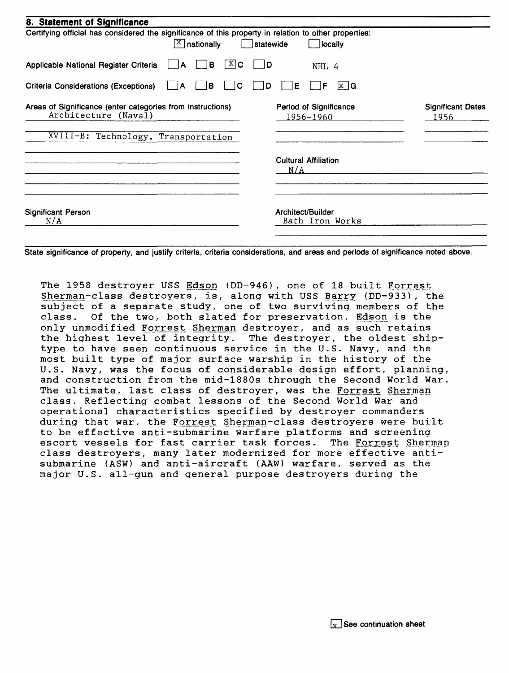| 8. Statement of Significance                                                                                                             |                                      |                                  |
|------------------------------------------------------------------------------------------------------------------------------------------|--------------------------------------|----------------------------------|
| Certifying official has considered the significance of this property in relation to other properties:<br>$\sqrt{\frac{X}{X}}$ nationally | statewide<br>locally                 |                                  |
| X C<br>в<br>Applicable National Register Criteria<br>А                                                                                   | D<br>NHL 4                           |                                  |
| Criteria Considerations (Exceptions)<br>в<br>C<br>١A<br>$\mathbf{I}$                                                                     | $x \mid G$<br>Ε<br>D<br>F            |                                  |
| Areas of Significance (enter categories from instructions)<br>Architecture (Naval)                                                       | Period of Significance<br>1956–1960  | <b>Significant Dates</b><br>1956 |
| XVIII-B: Technology, Transportation                                                                                                      |                                      |                                  |
|                                                                                                                                          | <b>Cultural Affiliation</b><br>N/A   |                                  |
| <b>Significant Person</b><br>N/A                                                                                                         | Architect/Builder<br>Bath Iron Works |                                  |

State significance of property, and justify criteria, criteria considerations, and areas and periods of significance noted above.

The 1958 destroyer USS Edscm (DD-946), one of 18 built Forrest Sherman-class destroyers, is, along with USS Barry (DD-933), the subject of a separate study, one of two surviving members of the class. Of the two, both slated for preservation, Edson. is the only unmodified Forrest Sherman destroyer, and as such retains<br>the highest level of integrity. The destroyer, the oldest shi The destroyer, the oldest shiptype to have seen continuous service in the U.S. Navy, and the most built type of major surface warship in the history of the U.S. Navy, was the focus of considerable design effort, planning, and construction from the mid-1880s through the Second World War. The ultimate, last class of destroyer, was the Forrest Sherman class. Reflecting combat lessons of the Second World War and operational characteristics specified by destroyer commanders during that war, the Forrest Sherman-class destroyers were built to be effective anti-submarine warfare platforms and screening escort vessels for fast carrier task forces. The Forrest Sherman class destroyers, many later modernized for more effective antisubmarine (ASW) and anti-aircraft (AAW) warfare, served as the major U.S. all-gun and general purpose destroyers during the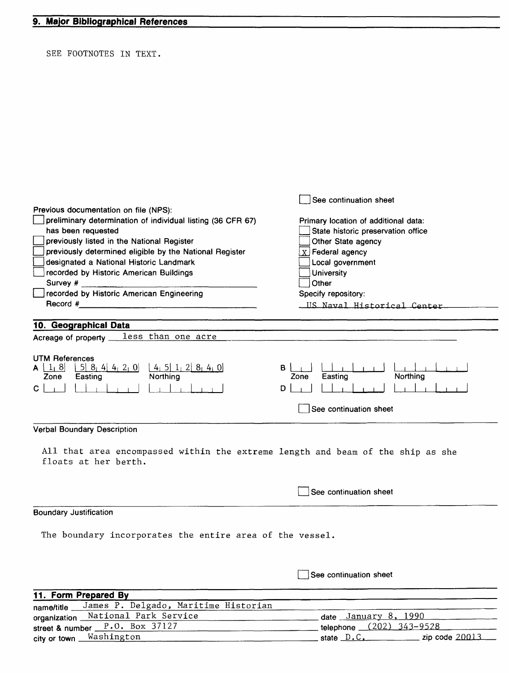SEE FOOTNOTES IN TEXT.

| Previous documentation on file (NPS):<br>preliminary determination of individual listing (36 CFR 67)<br>has been requested<br>previously listed in the National Register<br>previously determined eligible by the National Register                                                                                                                            | See continuation sheet<br>Primary location of additional data:<br>State historic preservation office<br>Other State agency<br>$X$ Federal agency |  |  |  |  |
|----------------------------------------------------------------------------------------------------------------------------------------------------------------------------------------------------------------------------------------------------------------------------------------------------------------------------------------------------------------|--------------------------------------------------------------------------------------------------------------------------------------------------|--|--|--|--|
| designated a National Historic Landmark                                                                                                                                                                                                                                                                                                                        | Local government                                                                                                                                 |  |  |  |  |
| recorded by Historic American Buildings                                                                                                                                                                                                                                                                                                                        | University<br>Other                                                                                                                              |  |  |  |  |
| recorded by Historic American Engineering                                                                                                                                                                                                                                                                                                                      | Specify repository:                                                                                                                              |  |  |  |  |
| Record $#$ $\qquad \qquad$ $\qquad \qquad$ $\qquad \qquad$ $\qquad \qquad$ $\qquad \qquad$ $\qquad \qquad$ $\qquad \qquad$ $\qquad \qquad$ $\qquad \qquad$ $\qquad$ $\qquad \qquad$ $\qquad$ $\qquad$ $\qquad$ $\qquad$ $\qquad$ $\qquad$ $\qquad$ $\qquad$ $\qquad$ $\qquad$ $\qquad$ $\qquad$ $\qquad$ $\qquad$ $\qquad$ $\qquad$ $\qquad$ $\qquad$ $\qquad$ | US Naval Historical Center                                                                                                                       |  |  |  |  |
|                                                                                                                                                                                                                                                                                                                                                                |                                                                                                                                                  |  |  |  |  |
| 10. Geographical Data                                                                                                                                                                                                                                                                                                                                          |                                                                                                                                                  |  |  |  |  |
| Acreage of property __ less than one acre                                                                                                                                                                                                                                                                                                                      |                                                                                                                                                  |  |  |  |  |
| <b>UTM References</b><br>$\begin{array}{ c c c c c c c c } \hline 5 & 8_1 & 4 & 4_1 & 2_1 & 0 \ \hline \text{Easting} & \text{Northing} & \end{array}$<br>$A \mid 1_1 8$<br>Zone<br>$\mathbf{C}$                                                                                                                                                               | Northing<br>Easting<br>Zone<br>D<br>See continuation sheet                                                                                       |  |  |  |  |
|                                                                                                                                                                                                                                                                                                                                                                |                                                                                                                                                  |  |  |  |  |
| Verbal Boundary Description                                                                                                                                                                                                                                                                                                                                    |                                                                                                                                                  |  |  |  |  |
| All that area encompassed within the extreme length and beam of the ship as she<br>floats at her berth.                                                                                                                                                                                                                                                        |                                                                                                                                                  |  |  |  |  |
|                                                                                                                                                                                                                                                                                                                                                                | See continuation sheet                                                                                                                           |  |  |  |  |
| <b>Boundary Justification</b>                                                                                                                                                                                                                                                                                                                                  |                                                                                                                                                  |  |  |  |  |
| The boundary incorporates the entire area of the vessel.                                                                                                                                                                                                                                                                                                       |                                                                                                                                                  |  |  |  |  |
|                                                                                                                                                                                                                                                                                                                                                                | See continuation sheet                                                                                                                           |  |  |  |  |
| 11. Form Prepared By                                                                                                                                                                                                                                                                                                                                           |                                                                                                                                                  |  |  |  |  |
| James P. Delgado, Maritime Historian<br>name/title _                                                                                                                                                                                                                                                                                                           |                                                                                                                                                  |  |  |  |  |
| National Park Service<br>organization _                                                                                                                                                                                                                                                                                                                        | date January 8, 1990                                                                                                                             |  |  |  |  |
| street & number $P.0.$ Box $37127$                                                                                                                                                                                                                                                                                                                             | telephone (202) 343-9528                                                                                                                         |  |  |  |  |

city or town <u>Washington</u>

state  $D.C.$  zip code 2001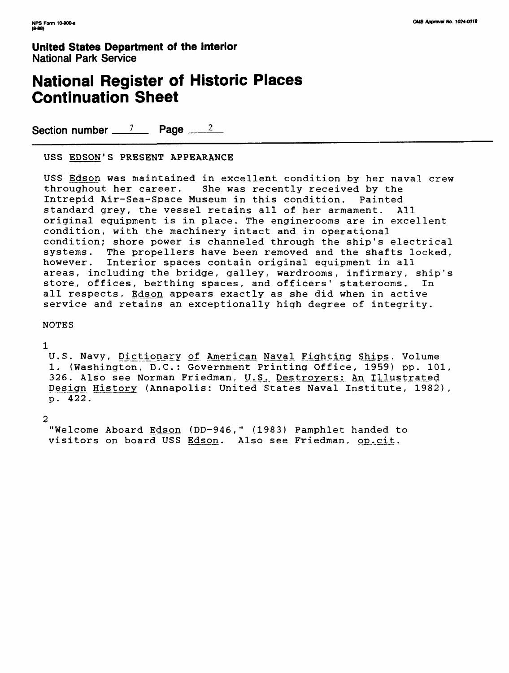## **National Register of Historic Places Continuation Sheet**

Section number  $\frac{7}{2}$  Page  $\frac{2}{2}$ 

USS EDSON'S PRESENT APPEARANCE

USS Edson was maintained in excellent condition by her naval crew throughout her career. She was recently received by the Intrepid Air-Sea-Space Museum in this condition. Painted standard grey, the vessel retains all of her armament. All original equipment is in place. The enginerooms are in excellent condition, with the machinery intact and in operational condition; shore power is channeled through the ship's electrical<br>systems. The propellers have been removed and the shafts locked. The propellers have been removed and the shafts locked, however. Interior spaces contain original equipment in all areas, including the bridge, galley, wardrooms, infirmary, ship's store, offices, berthing spaces, and officers' staterooms. In all respects, Edson appears exactly as she did when in active service and retains an exceptionally high degree of integrity.

NOTES

1

U.S. Navy, Dictionary of American Naval Fighting Ships, Volume 1. (Washington, D.C.: Government Printing Office, 1959) pp. 101, 326. Also see Norman Friedman, U.S. Destroyers: An Illustrated Design History (Annapolis: United States Naval Institute, 1982), p. 422.

2

"Welcome Aboard Edson (DD-946," (1983) Pamphlet handed to visitors on board USS Edson. Also see Friedman, op.cit.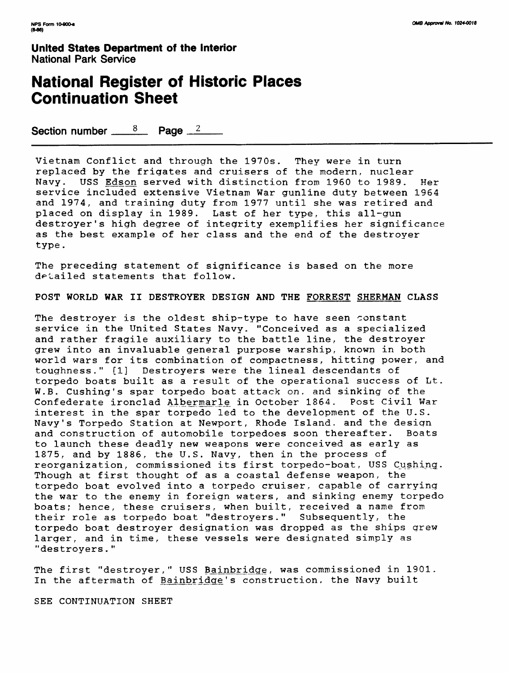## **National Register of Historic Places Continuation Sheet**

Section number  $\frac{8}{2}$  Page  $\frac{2}{2}$ 

Vietnam Conflict and through the 1970s. They were in turn replaced by the frigates and cruisers of the modern, nuclear Navy. USS Edson served with distinction from 1960 to 1989. Her service included extensive Vietnam War gunline duty between 1964 and 1974, and training duty from 1977 until she was retired and placed on display in 1989. Last of her type, this all-gun destroyer's high degree of integrity exemplifies her significance as the best example of her class and the end of the destroyer type.

The preceding statement of significance is based on the more detailed statements that follow.

POST WORLD WAR II DESTROYER DESIGN AND THE FORREST SHERMAN CLASS

The destroyer is the oldest ship-type to have seen constant service in the United States Navy. "Conceived as a specialized and rather fragile auxiliary to the battle line, the destroyer grew into an invaluable general purpose warship, known in both world wars for its combination of compactness, hitting power, and toughness." fl] Destroyers were the lineal descendants of torpedo boats built as a result of the operational success of Lt. W.B. Cushing's spar torpedo boat attack on, and sinking of the Confederate ironclad Albermarle in October 1864. Post Civil War interest in the spar torpedo led to the development of the U.S. Navy's Torpedo Station at Newport, Rhode Island, and the design and construction of automobile torpedoes soon thereafter. Boats to launch these deadly new weapons were conceived as early as 1875, and by 1886, the U.S. Navy, then in the process of reorganization, commissioned its first torpedo-boat, USS Cushing. Though at first thought of as a coastal defense weapon, the torpedo boat evolved into a torpedo cruiser, capable of carrying the war to the enemy in foreign waters, and sinking enemy torpedo boats; hence, these cruisers, when built, received a name from their role as torpedo boat "destroyers." Subsequently, the torpedo boat destroyer designation was dropped as the ships grew larger, and in time, these vessels were designated simply as "destroyers."

The first "destroyer," USS Bainbridge, was commissioned in 1901. In the aftermath of Bainbridge's construction, the Navy built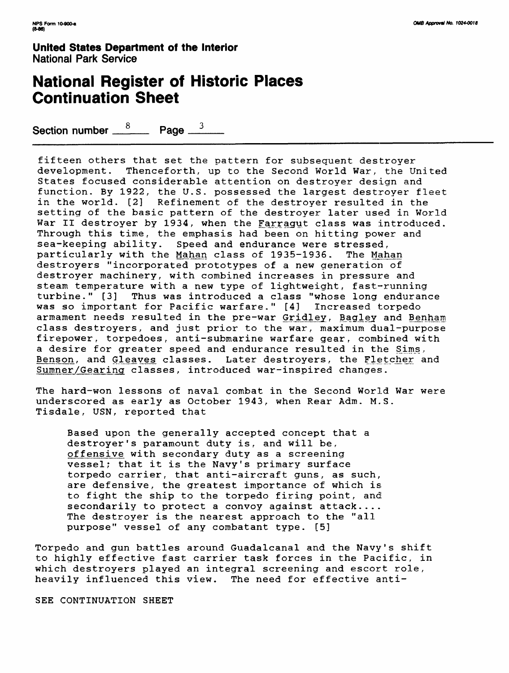## **National Register of Historic Places Continuation Sheet**

Section number  $\frac{8}{2}$  Page  $\frac{3}{2}$ 

fifteen others that set the pattern for subsequent destroyer development. Thenceforth, up to the Second World War, the United States focused considerable attention on destroyer design and function. By 1922, the U.S. possessed the largest destroyer fleet in the world. [2] Refinement of the destroyer resulted in the setting of the basic pattern of the destroyer later used in World War II destroyer by 1934, when the Farragut class was introduced. Through this time, the emphasis had been on hitting power and sea-keeping ability. Speed and endurance were stressed, particularly with the Mahan class of 1935-1936. The Mahan destroyers "incorporated prototypes of a new generation of destroyer machinery, with combined increases in pressure and steam temperature with a new type of lightweight, fast-running turbine." [3] Thus was introduced a class "whose long endurance was so important for Pacific warfare." [4] Increased torpedo armament needs resulted in the pre-war Gridley, Bagley and Benham class destroyers, and just prior to the war, maximum dual-purpose firepower, torpedoes, anti-submarine warfare gear, combined with a desire for greater speed and endurance resulted in the Sims, Benson, and Gleaves classes. Later destroyers, the Fletcher and Sumner/Gearing classes, introduced war-inspired changes.

The hard-won lessons of naval combat in the Second World War were underscored as early as October 1943, when Rear Adm. M.S. Tisdale, USN, reported that

Based upon the generally accepted concept that a destroyer's paramount duty is, and will be, offensive with secondary duty as a screening vessel; that it is the Navy's primary surface torpedo carrier, that anti-aircraft guns, as such, are defensive, the greatest importance of which is to fight the ship to the torpedo firing point, and. secondarily to protect a convoy against attack.... The destroyer is the nearest approach to the "all purpose" vessel of any combatant type. [5]

Torpedo and gun battles around Guadalcanal and the Navy's shift to highly effective fast carrier task forces in the Pacific, in which destroyers played an integral screening and escort role, heavily influenced this view. The need for effective anti-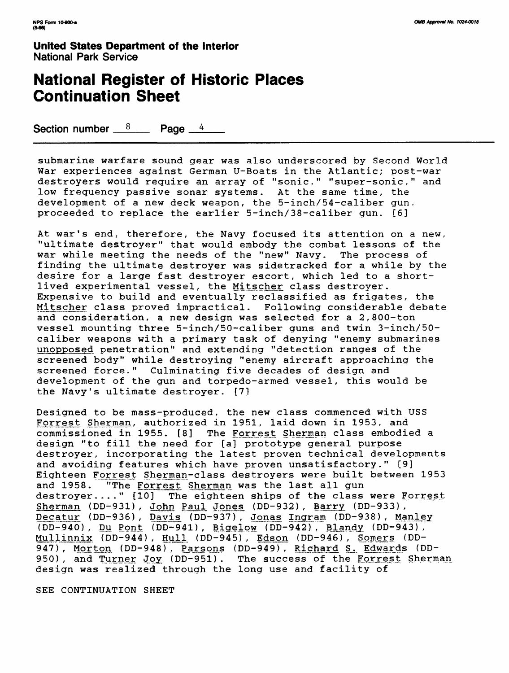## **National Register of Historic Places Continuation Sheet**

Section number  $\frac{8}{2}$  Page 4

submarine warfare sound gear was also underscored by Second World War experiences against German U-Boats in the Atlantic; post-war destroyers would require an array of "sonic," "super-sonic." and low frequency passive sonar systems. At the same time, the development of a new deck weapon, the 5-inch/54-caliber gun. proceeded to replace the earlier 5-inch/38-caliber gun. [6]

At war's end, therefore, the Navy focused its attention on a new, "ultimate destroyer" that would embody the combat lessons of the war while meeting the needs of the "new" Navy. The process of finding the ultimate destroyer was sidetracked for a while by the desire for a large fast destroyer escort, which led to a shortlived experimental vessel, the Mitscher class destroyer. Expensive to build and eventually reclassified as frigates, the Mitscher class proved impractical. Following considerable debate and consideration, a new design was selected for a 2,800-ton vessel mounting three 5-inch/50-caliber guns and twin 3-inch/50 caliber weapons with a primary task of denying "enemy submarines unopposed penetration" and extending "detection ranges of the screened body" while destroying "enemy aircraft approaching the screened force." Culminating five decades of design and development of the gun and torpedo-armed vessel, this would be the Navy's ultimate destroyer. [7]

Designed to be mass-produced, the new class commenced with USS Forrest Sherman, authorized in 1951, laid down in 1953, and commissioned in 1955. [8] The Forrest Sherman class embodied a design "to fill the need for [a] prototype general purpose destroyer, incorporating the latest proven technical developments and avoiding features which have proven unsatisfactory." [9] Eighteen Forrest Sherman-class destroyers were built between 1953 and 1958. "The Forrest Sherman was the last all gun destroyer...." [10] The eighteen ships of the class were Forrest Sherman (DD-931), John Paul Jones (DD-932), Barry (DD-933), Decatur (DD-936), Dayis (DD-937), Jonas Ingram (DD-938), Manley  $(DD-940)$ , Du Pont (DD-941), Bigelow (DD-942), Blandy (DD-943), Mullinnix (DD-944), Hull (DD-945), Edson (DD-946), Somers (DD-947), Morton (DD-948), Parsons (DD-949), Richard S. Edwards (DD-950), and Turner Joy (DD-951). The success of the Forrest Sherman design was realized through the long use and facility of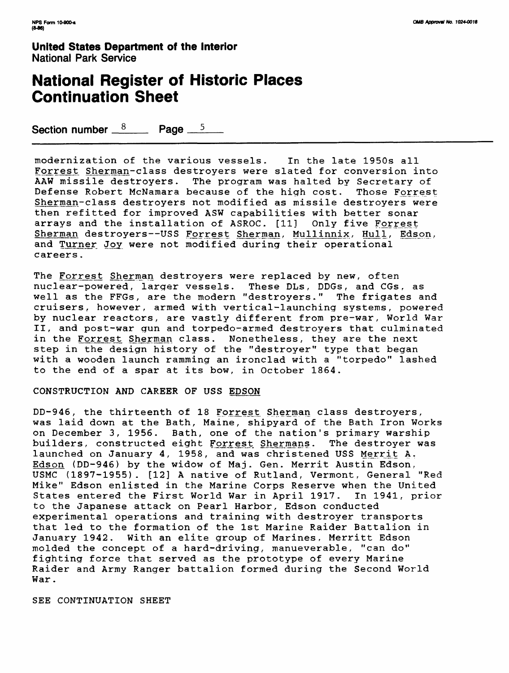## **National Register of Historic Places Continuation Sheet**

Section number  $8 \times 10^8$  Page  $5 \times 5$ 

modernization of the various vessels. In the late 1950s all Forrest Sherman-class destroyers were slated for conversion into AAW missile destroyers. The program was halted by Secretary of Defense Robert McNamara because of the high cost. Those Forrest Sherman-class destroyers not modified as missile destroyers were then refitted for improved ASW capabilities with better sonar arrays and the installation of ASROC. [11] Only five Forrest Sherman destroyers--USS Forrest Sherman, Mullinnix, Hull, Edson, and Turner Joy were not modified during their operational careers.

The Forrest Sherman destroyers were replaced by new, often nuclear-powered, larger vessels. These DLs, DDGs, and CGs, as well as the FFGs, are the modern "destroyers." The frigates and cruisers, however, armed with vertical-launching systems, powered by nuclear reactors, are vastly different from pre-war, World War II, and post-war gun and torpedo-armed destroyers that culminated in the Forrest Sherman class. Nonetheless, they are the next step in the design history of the "destroyer" type that began with a wooden launch ramming an ironclad with a "torpedo" lashed to the end of a spar at its bow, in October 1864.

#### CONSTRUCTION AND CAREER OF USS EDSON

DD-946, the thirteenth of 18 Forrest Sherman class destroyers, was laid down at the Bath, Maine, shipyard of the Bath Iron Works on December 3, 1956. Bath, one of the nation's primary warship<br>builders, constructed eight Forrest Shermans. The destroyer was builders, constructed eight Forrest Shermans. launched on January 4, 1958, and was christened USS Merrit A. Edson (DD-946) by the widow of Maj. Gen. Merrit Austin Edson, USMC (1897-1955). [12] A native of Rutland, Vermont, General "Red Mike" Edson enlisted in the Marine Corps Reserve when the United States entered the First World War in April 1917. In 1941, prior to the Japanese attack on Pearl Harbor, Edson conducted experimental operations and training with destroyer transports that led to the formation of the 1st Marine Raider Battalion in January 1942. With an elite group of Marines, Merritt Edson molded the concept of a hard-driving, manueverable, "can do" fighting force that served as the prototype of every Marine Raider and Army Ranger battalion formed during the Second World War.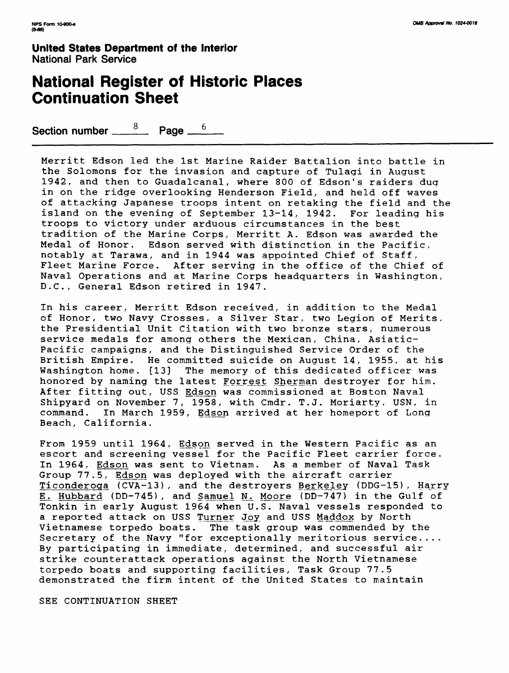## **National Register of Historic Places Continuation Sheet**

Section number  $\frac{8}{\sqrt{2}}$  Page  $\frac{6}{\sqrt{2}}$ 

Merritt Edson led the 1st Marine Raider Battalion into battle in the Solomons for the invasion and capture of Tulagi in August 1942 , and then to Guadalcanal, where 800 of Edson's raiders dug in on the ridge overlooking Henderson Field, and held off waves of attacking Japanese troops intent on retaking the field and the island on the evening of September 13-14, 1942. For leading his troops to victory under arduous circumstances in the best tradition of the Marine Corps, Merritt A. Edson was awarded the Medal of Honor. Edson served with distinction in the Pacific, notably at Tarawa, and in 1944 was appointed Chief of Staff, Fleet Marine Force. After serving in the office of the Chief of Naval Operations and at Marine Corps headquarters in Washington, D.C., General Edson retired in 1947.

In his career, Merritt Edson received, in addition to the Medal of Honor, two Navy Crosses, a Silver Star, two Legion of Merits, the Presidential Unit Citation with two bronze stars, numerous service medals for among others the Mexican, China, Asiatic-Pacific campaigns, and the Distinguished Service Order of the British Empire. He committed suicide on August 14, 1955, at his<br>Washington home. [13] The memory of this dedicated officer was The memory of this dedicated officer was honored by naming the latest Forrest Sherman destroyer for him. After fitting out, USS Edson was commissioned at Boston Naval Shipyard on November 7, 1958, with Cmdr. T.J. Moriarty, USN, in command. In March 1959, Edson arrived at her homeport of Long Beach, California.

From 1959 until 1964, Edson served in the Western Pacific as an escort and screening vessel for the Pacific Fleet carrier force. In 1964, Edson was sent to Vietnam. As a member of Naval Task Group 77.5, Edson was deployed with the aircraft carrier Ticonderoga (CVA-13), and the destroyers Berkeley (DDG-15), Harry E. Hubbard (DD-745), and Samuel N. Moore (DD-747) in the Gulf of Tonkin in early August 1964 when U.S. Naval vessels responded to a reported attack on USS Turner Joy and USS Maddox by North Vietnamese torpedo boats. The task group was commended by the Secretary of the Navy "for exceptionally meritorious service.... By participating in immediate, determined, and successful air strike counterattack operations against the North Vietnamese torpedo boats and supporting facilities, Task Group 77.5 demonstrated the firm intent of the United States to maintain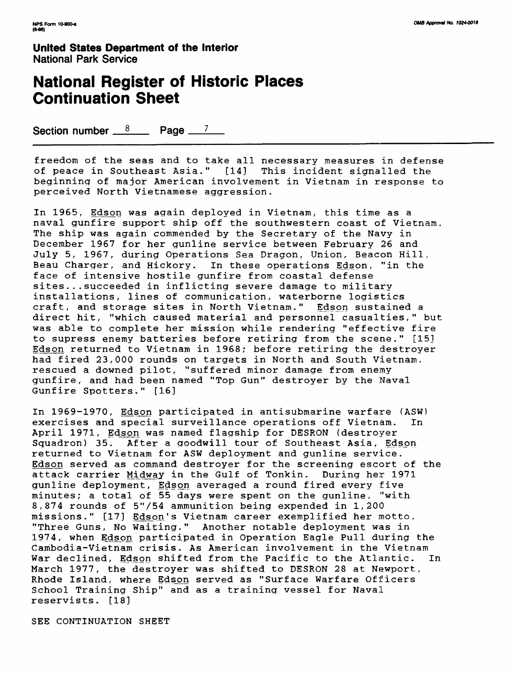## **National Register of Historic Places Continuation Sheet**

Section number  $8 \times 10^8$  Page  $7 \times 7$ 

freedom of the seas and to take all necessary measures in defense of peace in Southeast Asia." [141 This incident signalled the beginning of major American involvement in Vietnam in response to perceived North Vietnamese aggression.

In 1965, Edson was again deployed in Vietnam, this time as a naval gunfire support ship off the southwestern coast of Vietnam. The ship was again commended by the Secretary of the Navy in December 1967 for her gunline service between February 26 and July 5, 1967, during Operations Sea Dragon, Union, Beacon Hill. Beau Charger, and Hickory. In these operations Edson, "in the face of intensive hostile gunfire from coastal defense sites... succeeded in inflicting severe damage to military installations, lines of communication, waterborne logistics craft, and storage sites in North Vietnam." Edson sustained a direct hit, "which caused material and personnel casualties," but was able to complete her mission while rendering "effective fire to supress enemy batteries before retiring from the scene." [151 Edson returned to Vietnam in 1968; before retiring the destroyer had fired 23,000 rounds on targets in North and South Vietnam, rescued a downed pilot, "suffered minor damage from enemy gunfire, and had been named "Top Gun" destroyer by the Naval Gunfire Spotters." [16]

In 1969-1970, Edson participated in antisubmarine warfare (ASW) exercises and special surveillance operations off Vietnam. In April 1971, Edson was named flagship for DESRON (destroyer Sguadron) 35. After a goodwill tour of Southeast Asia, Edson returned to Vietnam for ASW deployment and gunline service. Edson served as command destroyer for the screening escort of the attack carrier Midway in the Gulf of Tonkin. During her 1971 gunline deployment, Edson averaged a round fired every five minutes; a total of 55 days were spent on the gunline, "'with 8,874 rounds of 5"/54 ammunition being expended in 1,200 missions." [17] Edson's Vietnam career exemplified her motto, "Three Guns, No Waiting." Another notable deployment was in 1974, when Edson participated in Operation Eagle Pull during the Cambodia-Vietnam crisis. As American involvement in the Vietnam War declined, Edson shifted from the Pacific to the Atlantic. In March 1977, the destroyer was shifted to DESRON 28 at Newport, Rhode Island, where Edson served as "Surface Warfare Officers School Training Ship" and as a training vessel for Naval reservists. [18]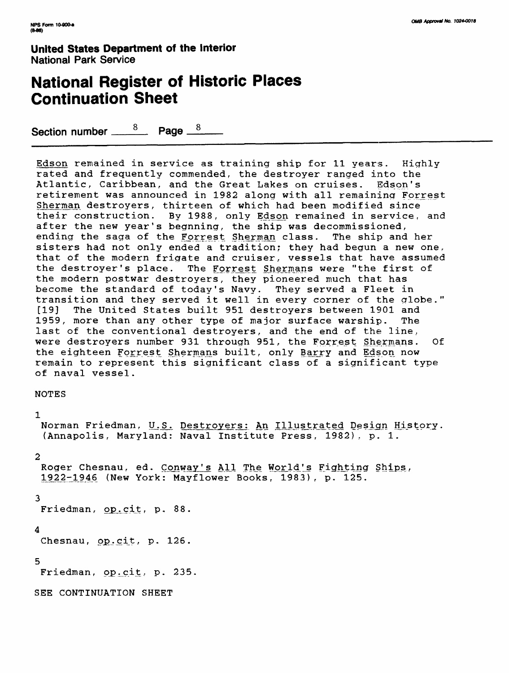## **National Register of Historic Places Continuation Sheet**

Section number  $\frac{8}{2}$  Page  $\frac{8}{2}$ 

Edson remained in service as training ship for 11 years. Highly rated and frequently commended, the destroyer ranged into the Atlantic, Caribbean, and the Great Lakes on cruises. Edson's retirement was announced in 1982 along with all remaining Forrest Sherman destroyers, thirteen of which had been modified since their construction. By 1988, only Edson remained in service, and after the new year's begnning, the ship was decommissioned, ending the saga of the Forrest Sherman class. The ship and her sisters had not only ended a tradition; they had begun a new one, that of the modern frigate and cruiser, vessels that have assumed the destroyer's place. The Forrest Shermans were "the first of the modern postwar destroyers, they pioneered much that has become the standard of today's Navy. They served a Fleet in transition and they served it well in every corner of the globe." [19] The United States built 951 destroyers between 1901 and 1959, more than any other type of major surface warship. The last of the conventional destroyers, and the end of the line, were destroyers number 931 through 951, the Forrest Shermans. Of the eighteen Forrest Shermans built, only Barry and Edson now remain to represent this significant class of a significant type of naval vessel.

NOTES

#### 1

Norman Friedman, U.S. Destroyers: An Illustrated Design History. (Annapolis, Maryland: Naval Institute Press, 1982). p. 1.

### 2

Roger Chesnau, ed. Conway's All The World's Fighting Ships, 1922-1946 (New York: Mayflower Books, 1983), p. 125.

#### 3

Friedman, op.cit, p. 88.

### 4

Chesnau, op.cit, p. 126.

### 5

Friedman, op.cit, p. 235.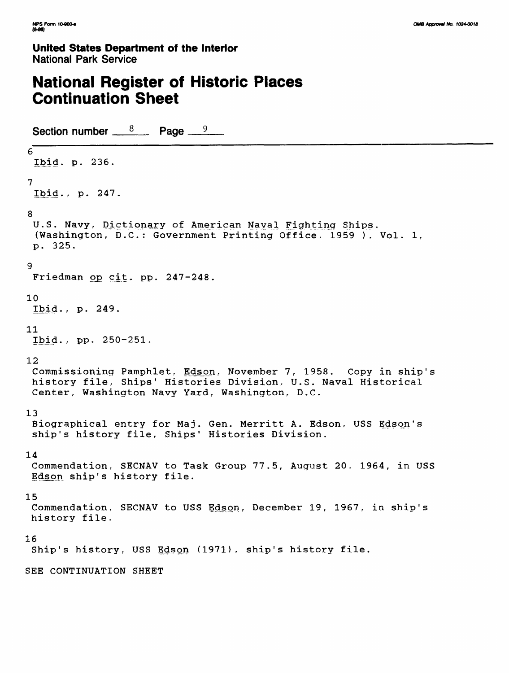## **National Register of Historic Places Continuation Sheet**

Section number  $8 \times 8$  Page  $9 \times 9$ 6 Ibid. p. 236. 7 Ibid., p. 247. 8 U.S. Navy, Dictionary of American Naval Fighting Ships. (Washington, D.C.: Government Printing Office. 1959 ), Vol. 1, p. 325. 9 Friedman op cit. pp. 247-248. 10 Ibid., p. 249. 11 Ibid., pp. 250-251. 12 Commissioning Pamphlet, Edson, November 7, 1958. Copy in ship's history file, Ships' Histories Division, U.S. Naval Historical Center, Washington Navy Yard, Washington, D.C. 13 Biographical entry for Maj. Gen. Merritt A. Edson, USS Edson's ship's history file, Ships' Histories Division. 14 Commendation, SECNAV to Task Group 77.5, August 20, 1964, in USS Edson ship's history file. 15 Commendation, SECNAV to USS Edson, December 19, 1967, in ship's history file. 16 Ship's history, USS Edson (1971), ship's history file. SEE CONTINUATION SHEET